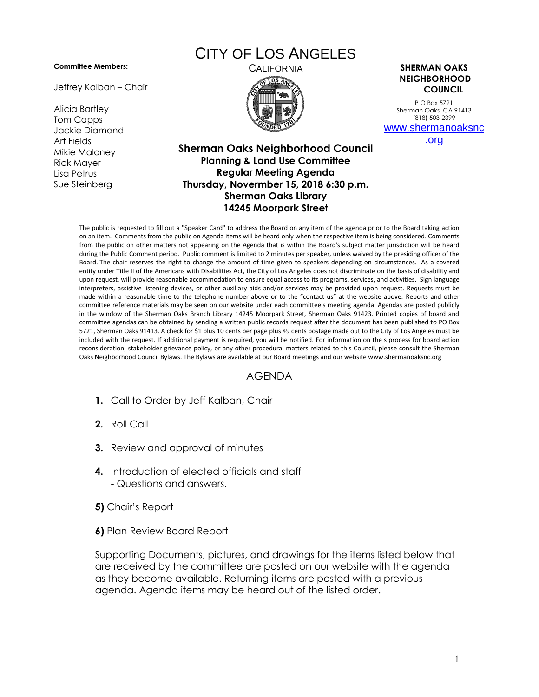## **Committee Members:**

Jeffrey Kalban – Chair

Alicia Bartley Tom Capps Jackie Diamond Art Fields Mikie Maloney Rick Mayer Lisa Petrus Sue Steinberg

## CITY OF LOS ANGELES



CALIFORNIA **SHERMAN OAKS NEIGHBORHOOD COUNCIL**

> P O Box 5721 Sherman Oaks, CA 91413 (818) 503-2399 [www.shermanoaksnc](http://www.shermanoaksnc.org/)

> > [.org](http://www.shermanoaksnc.org/)

## **Sherman Oaks Neighborhood Council Planning & Land Use Committee Regular Meeting Agenda Thursday, Novermber 15, 2018 6:30 p.m. Sherman Oaks Library 14245 Moorpark Street**

The public is requested to fill out a "Speaker Card" to address the Board on any item of the agenda prior to the Board taking action on an item. Comments from the public on Agenda items will be heard only when the respective item is being considered. Comments from the public on other matters not appearing on the Agenda that is within the Board's subject matter jurisdiction will be heard during the Public Comment period. Public comment is limited to 2 minutes per speaker, unless waived by the presiding officer of the Board. The chair reserves the right to change the amount of time given to speakers depending on circumstances. As a covered entity under Title II of the Americans with Disabilities Act, the City of Los Angeles does not discriminate on the basis of disability and upon request, will provide reasonable accommodation to ensure equal access to its programs, services, and activities. Sign language interpreters, assistive listening devices, or other auxiliary aids and/or services may be provided upon request. Requests must be made within a reasonable time to the telephone number above or to the "contact us" at the website above. Reports and other committee reference materials may be seen on our website under each committee's meeting agenda. Agendas are posted publicly in the window of the Sherman Oaks Branch Library 14245 Moorpark Street, Sherman Oaks 91423. Printed copies of board and committee agendas can be obtained by sending a written public records request after the document has been published to PO Box 5721, Sherman Oaks 91413. A check for \$1 plus 10 cents per page plus 49 cents postage made out to the City of Los Angeles must be included with the request. If additional payment is required, you will be notified. For information on the s process for board action reconsideration, stakeholder grievance policy, or any other procedural matters related to this Council, please consult the Sherman Oaks Neighborhood Council Bylaws. The Bylaws are available at our Board meetings and our website www.shermanoaksnc.org

## AGENDA

- **1.** Call to Order by Jeff Kalban, Chair
- **2.** Roll Call
- **3.** Review and approval of minutes
- **4.** Introduction of elected officials and staff - Questions and answers.
- **5)** Chair's Report
- **6)** Plan Review Board Report

Supporting Documents, pictures, and drawings for the items listed below that are received by the committee are posted on our website with the agenda as they become available. Returning items are posted with a previous agenda. Agenda items may be heard out of the listed order.